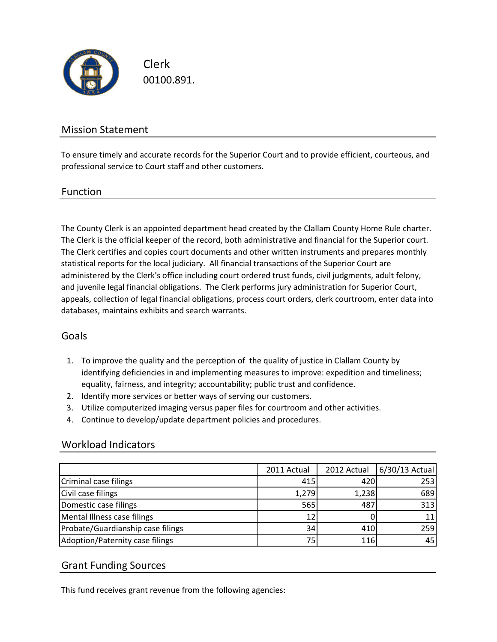

Clerk 00100.891.

## Mission Statement

To ensure timely and accurate records for the Superior Court and to provide efficient, courteous, and professional service to Court staff and other customers.

#### Function

The County Clerk is an appointed department head created by the Clallam County Home Rule charter. The Clerk is the official keeper of the record, both administrative and financial for the Superior court. The Clerk certifies and copies court documents and other written instruments and prepares monthly statistical reports for the local judiciary. All financial transactions of the Superior Court are administered by the Clerk's office including court ordered trust funds, civil judgments, adult felony, and juvenile legal financial obligations. The Clerk performs jury administration for Superior Court, appeals, collection of legal financial obligations, process court orders, clerk courtroom, enter data into databases, maintains exhibits and search warrants.

## Goals

- 1. To improve the quality and the perception of the quality of justice in Clallam County by identifying deficiencies in and implementing measures to improve: expedition and timeliness; equality, fairness, and integrity; accountability; public trust and confidence.
- 2. Identify more services or better ways of serving our customers.
- 3. Utilize computerized imaging versus paper files for courtroom and other activities.
- 4. Continue to develop/update department policies and procedures.

#### Workload Indicators

|                                   | 2011 Actual     | 2012 Actual | 6/30/13 Actual |
|-----------------------------------|-----------------|-------------|----------------|
| Criminal case filings             | 415             | 420         | 253            |
| Civil case filings                | 1,279           | 1,238       | 689            |
| Domestic case filings             | 565             | 487         | 313            |
| Mental Illness case filings       | 12 <sub>1</sub> |             | 11             |
| Probate/Guardianship case filings | 34              | 410         | 259            |
| Adoption/Paternity case filings   | 75              | 116         | 45             |

## Grant Funding Sources

This fund receives grant revenue from the following agencies: